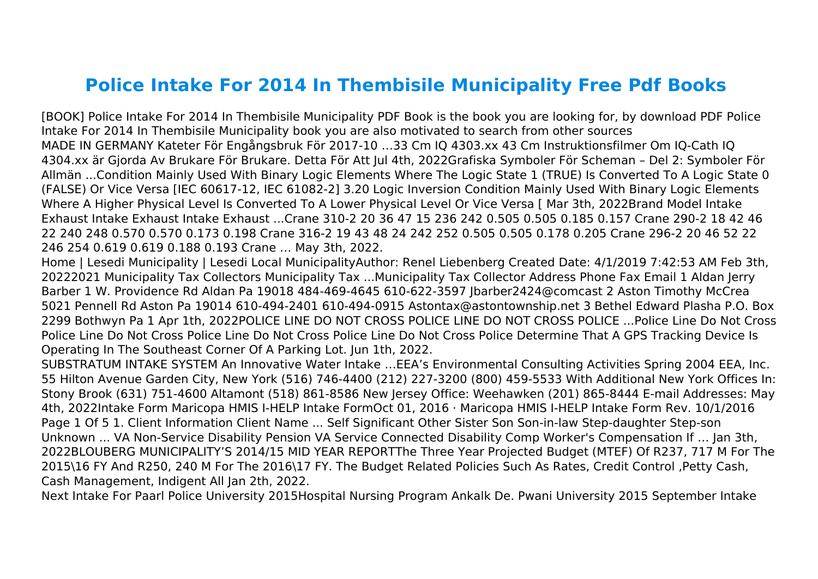## **Police Intake For 2014 In Thembisile Municipality Free Pdf Books**

[BOOK] Police Intake For 2014 In Thembisile Municipality PDF Book is the book you are looking for, by download PDF Police Intake For 2014 In Thembisile Municipality book you are also motivated to search from other sources MADE IN GERMANY Kateter För Engångsbruk För 2017-10 …33 Cm IQ 4303.xx 43 Cm Instruktionsfilmer Om IQ-Cath IQ 4304.xx är Gjorda Av Brukare För Brukare. Detta För Att Jul 4th, 2022Grafiska Symboler För Scheman – Del 2: Symboler För Allmän ...Condition Mainly Used With Binary Logic Elements Where The Logic State 1 (TRUE) Is Converted To A Logic State 0 (FALSE) Or Vice Versa [IEC 60617-12, IEC 61082-2] 3.20 Logic Inversion Condition Mainly Used With Binary Logic Elements Where A Higher Physical Level Is Converted To A Lower Physical Level Or Vice Versa [ Mar 3th, 2022Brand Model Intake Exhaust Intake Exhaust Intake Exhaust ...Crane 310-2 20 36 47 15 236 242 0.505 0.505 0.185 0.157 Crane 290-2 18 42 46 22 240 248 0.570 0.570 0.173 0.198 Crane 316-2 19 43 48 24 242 252 0.505 0.505 0.178 0.205 Crane 296-2 20 46 52 22 246 254 0.619 0.619 0.188 0.193 Crane … May 3th, 2022.

Home | Lesedi Municipality | Lesedi Local MunicipalityAuthor: Renel Liebenberg Created Date: 4/1/2019 7:42:53 AM Feb 3th, 20222021 Municipality Tax Collectors Municipality Tax ...Municipality Tax Collector Address Phone Fax Email 1 Aldan Jerry Barber 1 W. Providence Rd Aldan Pa 19018 484-469-4645 610-622-3597 Jbarber2424@comcast 2 Aston Timothy McCrea 5021 Pennell Rd Aston Pa 19014 610-494-2401 610-494-0915 Astontax@astontownship.net 3 Bethel Edward Plasha P.O. Box 2299 Bothwyn Pa 1 Apr 1th, 2022POLICE LINE DO NOT CROSS POLICE LINE DO NOT CROSS POLICE ...Police Line Do Not Cross Police Line Do Not Cross Police Line Do Not Cross Police Line Do Not Cross Police Determine That A GPS Tracking Device Is Operating In The Southeast Corner Of A Parking Lot. Jun 1th, 2022.

SUBSTRATUM INTAKE SYSTEM An Innovative Water Intake …EEA's Environmental Consulting Activities Spring 2004 EEA, Inc. 55 Hilton Avenue Garden City, New York (516) 746-4400 (212) 227-3200 (800) 459-5533 With Additional New York Offices In: Stony Brook (631) 751-4600 Altamont (518) 861-8586 New Jersey Office: Weehawken (201) 865-8444 E-mail Addresses: May 4th, 2022Intake Form Maricopa HMIS I-HELP Intake FormOct 01, 2016 · Maricopa HMIS I-HELP Intake Form Rev. 10/1/2016 Page 1 Of 5 1. Client Information Client Name ... Self Significant Other Sister Son Son-in-law Step-daughter Step-son Unknown ... VA Non-Service Disability Pension VA Service Connected Disability Comp Worker's Compensation If … Jan 3th, 2022BLOUBERG MUNICIPALITY'S 2014/15 MID YEAR REPORTThe Three Year Projected Budget (MTEF) Of R237, 717 M For The 2015\16 FY And R250, 240 M For The 2016\17 FY. The Budget Related Policies Such As Rates, Credit Control ,Petty Cash, Cash Management, Indigent All Jan 2th, 2022.

Next Intake For Paarl Police University 2015Hospital Nursing Program Ankalk De. Pwani University 2015 September Intake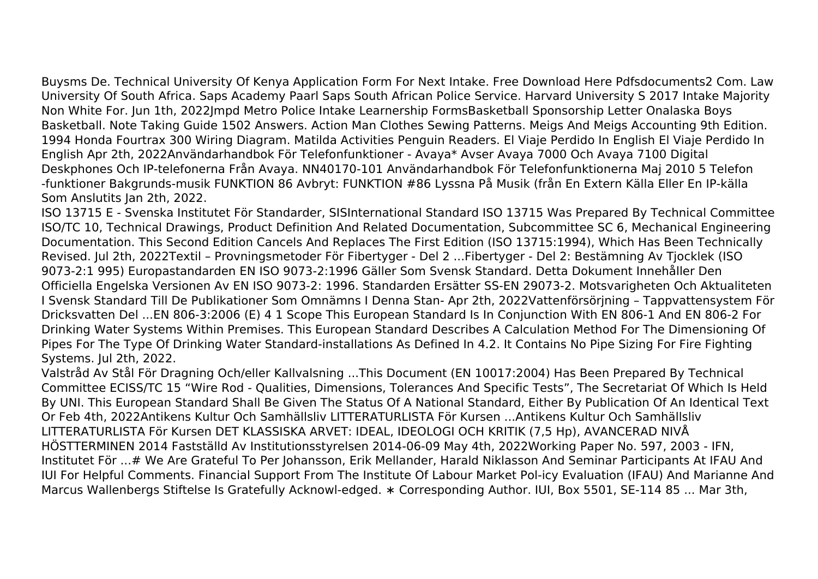Buysms De. Technical University Of Kenya Application Form For Next Intake. Free Download Here Pdfsdocuments2 Com. Law University Of South Africa. Saps Academy Paarl Saps South African Police Service. Harvard University S 2017 Intake Majority Non White For. Jun 1th, 2022Jmpd Metro Police Intake Learnership FormsBasketball Sponsorship Letter Onalaska Boys Basketball. Note Taking Guide 1502 Answers. Action Man Clothes Sewing Patterns. Meigs And Meigs Accounting 9th Edition. 1994 Honda Fourtrax 300 Wiring Diagram. Matilda Activities Penguin Readers. El Viaje Perdido In English El Viaje Perdido In English Apr 2th, 2022Användarhandbok För Telefonfunktioner - Avaya\* Avser Avaya 7000 Och Avaya 7100 Digital Deskphones Och IP-telefonerna Från Avaya. NN40170-101 Användarhandbok För Telefonfunktionerna Maj 2010 5 Telefon -funktioner Bakgrunds-musik FUNKTION 86 Avbryt: FUNKTION #86 Lyssna På Musik (från En Extern Källa Eller En IP-källa Som Anslutits Jan 2th, 2022.

ISO 13715 E - Svenska Institutet För Standarder, SISInternational Standard ISO 13715 Was Prepared By Technical Committee ISO/TC 10, Technical Drawings, Product Definition And Related Documentation, Subcommittee SC 6, Mechanical Engineering Documentation. This Second Edition Cancels And Replaces The First Edition (ISO 13715:1994), Which Has Been Technically Revised. Jul 2th, 2022Textil – Provningsmetoder För Fibertyger - Del 2 ...Fibertyger - Del 2: Bestämning Av Tjocklek (ISO 9073-2:1 995) Europastandarden EN ISO 9073-2:1996 Gäller Som Svensk Standard. Detta Dokument Innehåller Den Officiella Engelska Versionen Av EN ISO 9073-2: 1996. Standarden Ersätter SS-EN 29073-2. Motsvarigheten Och Aktualiteten I Svensk Standard Till De Publikationer Som Omnämns I Denna Stan- Apr 2th, 2022Vattenförsörjning – Tappvattensystem För Dricksvatten Del ...EN 806-3:2006 (E) 4 1 Scope This European Standard Is In Conjunction With EN 806-1 And EN 806-2 For Drinking Water Systems Within Premises. This European Standard Describes A Calculation Method For The Dimensioning Of Pipes For The Type Of Drinking Water Standard-installations As Defined In 4.2. It Contains No Pipe Sizing For Fire Fighting Systems. Jul 2th, 2022.

Valstråd Av Stål För Dragning Och/eller Kallvalsning ...This Document (EN 10017:2004) Has Been Prepared By Technical Committee ECISS/TC 15 "Wire Rod - Qualities, Dimensions, Tolerances And Specific Tests", The Secretariat Of Which Is Held By UNI. This European Standard Shall Be Given The Status Of A National Standard, Either By Publication Of An Identical Text Or Feb 4th, 2022Antikens Kultur Och Samhällsliv LITTERATURLISTA För Kursen ...Antikens Kultur Och Samhällsliv LITTERATURLISTA För Kursen DET KLASSISKA ARVET: IDEAL, IDEOLOGI OCH KRITIK (7,5 Hp), AVANCERAD NIVÅ HÖSTTERMINEN 2014 Fastställd Av Institutionsstyrelsen 2014-06-09 May 4th, 2022Working Paper No. 597, 2003 - IFN, Institutet För ...# We Are Grateful To Per Johansson, Erik Mellander, Harald Niklasson And Seminar Participants At IFAU And IUI For Helpful Comments. Financial Support From The Institute Of Labour Market Pol-icy Evaluation (IFAU) And Marianne And Marcus Wallenbergs Stiftelse Is Gratefully Acknowl-edged. ∗ Corresponding Author. IUI, Box 5501, SE-114 85 ... Mar 3th,